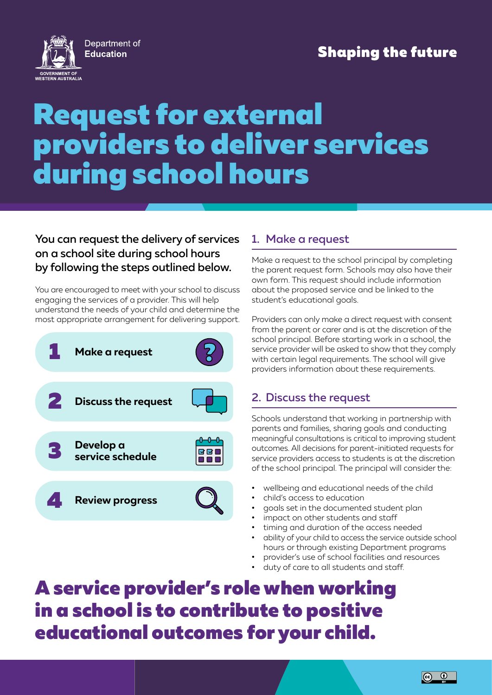

## **Shaping the future**

# Request for external providers to deliver services during school hours

#### You can request the delivery of services on a school site during school hours by following the steps outlined below.

You are encouraged to meet with your school to discuss engaging the services of a provider. This will help understand the needs of your child and determine the most appropriate arrangement for delivering support.



#### 1. Make a request

Make a request to the school principal by completing the parent request form. Schools may also have their own form. This request should include information about the proposed service and be linked to the student's educational goals.

Providers can only make a direct request with consent from the parent or carer and is at the discretion of the school principal. Before starting work in a school, the service provider will be asked to show that they comply with certain legal requirements. The school will give providers information about these requirements.

### 2. Discuss the request

Schools understand that working in partnership with parents and families, sharing goals and conducting meaningful consultations is critical to improving student outcomes. All decisions for parent-initiated requests for service providers access to students is at the discretion of the school principal. The principal will consider the:

- wellbeing and educational needs of the child
- child's access to education
- goals set in the documented student plan
- impact on other students and staff
- timing and duration of the access needed
- ability of your child to access the service outside school hours or through existing Department programs
- provider's use of school facilities and resources
- duty of care to all students and staff.

A service provider's role when working in a school is to contribute to positive educational outcomes for your child.

 $\boxed{6}$